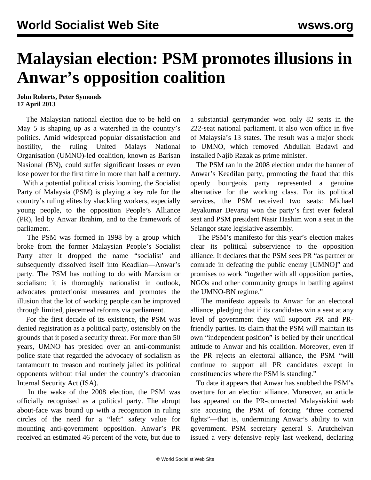## **Malaysian election: PSM promotes illusions in Anwar's opposition coalition**

**John Roberts, Peter Symonds 17 April 2013**

 The Malaysian national election due to be held on May 5 is shaping up as a watershed in the country's politics. Amid widespread popular dissatisfaction and hostility, the ruling United Malays National Organisation (UMNO)-led coalition, known as Barisan Nasional (BN), could suffer significant losses or even lose power for the first time in more than half a century.

 With a potential political crisis looming, the Socialist Party of Malaysia (PSM) is playing a key role for the country's ruling elites by shackling workers, especially young people, to the opposition People's Alliance (PR), led by Anwar Ibrahim, and to the framework of parliament.

 The PSM was formed in 1998 by a group which broke from the former Malaysian People's Socialist Party after it dropped the name "socialist' and subsequently dissolved itself into Keadilan—Anwar's party. The PSM has nothing to do with Marxism or socialism: it is thoroughly nationalist in outlook, advocates protectionist measures and promotes the illusion that the lot of working people can be improved through limited, piecemeal reforms via parliament.

 For the first decade of its existence, the PSM was denied registration as a political party, ostensibly on the grounds that it posed a security threat. For more than 50 years, UMNO has presided over an anti-communist police state that regarded the advocacy of socialism as tantamount to treason and routinely jailed its political opponents without trial under the country's draconian Internal Security Act (ISA).

 In the wake of the 2008 election, the PSM was officially recognised as a political party. The abrupt about-face was bound up with a recognition in ruling circles of the need for a "left" safety value for mounting anti-government opposition. Anwar's PR received an estimated 46 percent of the vote, but due to a substantial gerrymander won only 82 seats in the 222-seat national parliament. It also won office in five of Malaysia's 13 states. The result was a major shock to UMNO, which removed Abdullah Badawi and installed Najib Razak as prime minister.

 The PSM ran in the 2008 election under the banner of Anwar's Keadilan party, promoting the fraud that this openly bourgeois party represented a genuine alternative for the working class. For its political services, the PSM received two seats: [Michael](http://en.wikipedia.org/wiki/Michael_Jeyakumar_Devaraj) [Jeyakumar Devaraj](http://en.wikipedia.org/wiki/Michael_Jeyakumar_Devaraj) won the party's first ever federal seat and PSM president Nasir Hashim won a seat in the Selangor state legislative assembly.

 The PSM's manifesto for this year's election makes clear its political subservience to the opposition alliance. It declares that the PSM sees PR "as partner or comrade in defeating the public enemy [UMNO]" and promises to work "together with all opposition parties, NGOs and other community groups in battling against the UMNO-BN regime."

 The manifesto appeals to Anwar for an electoral alliance, pledging that if its candidates win a seat at any level of government they will support PR and PRfriendly parties. Its claim that the PSM will maintain its own "independent position" is belied by their uncritical attitude to Anwar and his coalition. Moreover, even if the PR rejects an electoral alliance, the PSM "will continue to support all PR candidates except in constituencies where the PSM is standing."

 To date it appears that Anwar has snubbed the PSM's overture for an election alliance. Moreover, an article has appeared on the PR-connected Malaysiakini web site accusing the PSM of forcing "three cornered fights"—that is, undermining Anwar's ability to win government. PSM secretary general S. Arutchelvan issued a very defensive reply last weekend, declaring